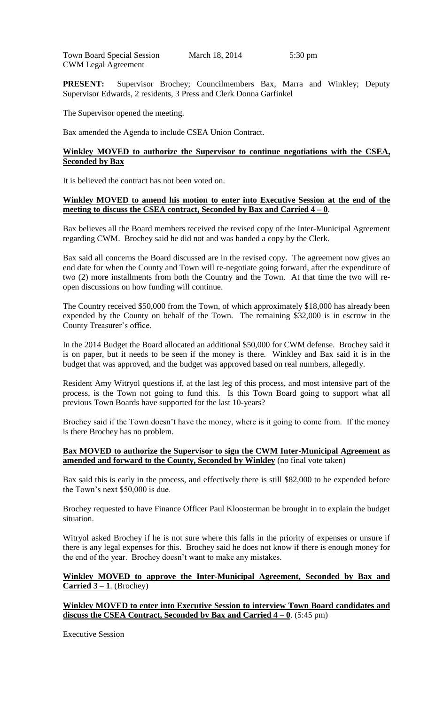Town Board Special Session March 18, 2014 5:30 pm CWM Legal Agreement

**PRESENT:** Supervisor Brochey; Councilmembers Bax, Marra and Winkley; Deputy Supervisor Edwards, 2 residents, 3 Press and Clerk Donna Garfinkel

The Supervisor opened the meeting.

Bax amended the Agenda to include CSEA Union Contract.

## **Winkley MOVED to authorize the Supervisor to continue negotiations with the CSEA, Seconded by Bax**

It is believed the contract has not been voted on.

#### **Winkley MOVED to amend his motion to enter into Executive Session at the end of the meeting to discuss the CSEA contract, Seconded by Bax and Carried 4 – 0**.

Bax believes all the Board members received the revised copy of the Inter-Municipal Agreement regarding CWM. Brochey said he did not and was handed a copy by the Clerk.

Bax said all concerns the Board discussed are in the revised copy. The agreement now gives an end date for when the County and Town will re-negotiate going forward, after the expenditure of two (2) more installments from both the Country and the Town. At that time the two will reopen discussions on how funding will continue.

The Country received \$50,000 from the Town, of which approximately \$18,000 has already been expended by the County on behalf of the Town. The remaining \$32,000 is in escrow in the County Treasurer's office.

In the 2014 Budget the Board allocated an additional \$50,000 for CWM defense. Brochey said it is on paper, but it needs to be seen if the money is there. Winkley and Bax said it is in the budget that was approved, and the budget was approved based on real numbers, allegedly.

Resident Amy Witryol questions if, at the last leg of this process, and most intensive part of the process, is the Town not going to fund this. Is this Town Board going to support what all previous Town Boards have supported for the last 10-years?

Brochey said if the Town doesn't have the money, where is it going to come from. If the money is there Brochey has no problem.

## **Bax MOVED to authorize the Supervisor to sign the CWM Inter-Municipal Agreement as amended and forward to the County, Seconded by Winkley** (no final vote taken)

Bax said this is early in the process, and effectively there is still \$82,000 to be expended before the Town's next \$50,000 is due.

Brochey requested to have Finance Officer Paul Kloosterman be brought in to explain the budget situation.

Witryol asked Brochey if he is not sure where this falls in the priority of expenses or unsure if there is any legal expenses for this. Brochey said he does not know if there is enough money for the end of the year. Brochey doesn't want to make any mistakes.

#### **Winkley MOVED to approve the Inter-Municipal Agreement, Seconded by Bax and Carried 3 – 1**. (Brochey)

**Winkley MOVED to enter into Executive Session to interview Town Board candidates and discuss the CSEA Contract, Seconded by Bax and Carried**  $4 - 0$ **.** (5:45 pm)

Executive Session